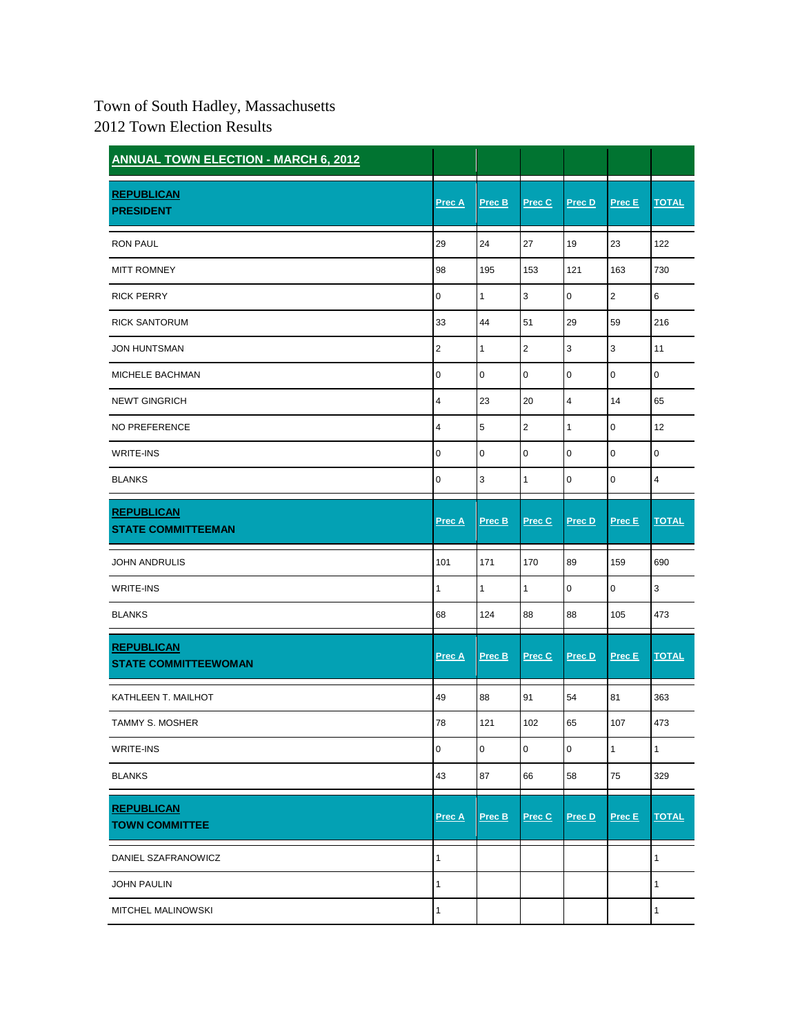## Town of South Hadley, Massachusetts 2012 Town Election Results

| <b>ANNUAL TOWN ELECTION - MARCH 6, 2012</b>      |                |        |                  |                         |              |                         |
|--------------------------------------------------|----------------|--------|------------------|-------------------------|--------------|-------------------------|
| <b>REPUBLICAN</b><br><b>PRESIDENT</b>            | Prec A         | Prec B | Prec C           | Prec D                  | Prec E       | <b>TOTAL</b>            |
| <b>RON PAUL</b>                                  | 29             | 24     | 27               | 19                      | 23           | 122                     |
| <b>MITT ROMNEY</b>                               | 98             | 195    | 153              | 121                     | 163          | 730                     |
| <b>RICK PERRY</b>                                | 0              | 1      | 3                | $\pmb{0}$               | 2            | 6                       |
| <b>RICK SANTORUM</b>                             | 33             | 44     | 51               | 29                      | 59           | 216                     |
| <b>JON HUNTSMAN</b>                              | $\overline{2}$ | 1      | $\boldsymbol{2}$ | 3                       | 3            | 11                      |
| MICHELE BACHMAN                                  | 0              | 0      | 0                | $\mathbf 0$             | 0            | 0                       |
| <b>NEWT GINGRICH</b>                             | 4              | 23     | 20               | $\overline{\mathbf{4}}$ | 14           | 65                      |
| NO PREFERENCE                                    | 4              | 5      | $\overline{2}$   | $\mathbf{1}$            | 0            | 12                      |
| <b>WRITE-INS</b>                                 | 0              | 0      | 0                | $\mathbf 0$             | $\mathbf 0$  | 0                       |
| <b>BLANKS</b>                                    | 0              | 3      | $\mathbf{1}$     | $\pmb{0}$               | $\pmb{0}$    | $\overline{\mathbf{4}}$ |
| <b>REPUBLICAN</b><br><b>STATE COMMITTEEMAN</b>   | <b>Prec A</b>  | Prec B | Prec C           | Prec D                  | Prec E       | <b>TOTAL</b>            |
| <b>JOHN ANDRULIS</b>                             | 101            | 171    | 170              | 89                      | 159          | 690                     |
| <b>WRITE-INS</b>                                 | 1              | 1      | $\mathbf{1}$     | $\pmb{0}$               | $\mathbf 0$  | 3                       |
| <b>BLANKS</b>                                    | 68             | 124    | 88               | 88                      | 105          | 473                     |
| <b>REPUBLICAN</b><br><b>STATE COMMITTEEWOMAN</b> | Prec A         | Prec B | Prec C           | Prec D                  | Prec E       | <b>TOTAL</b>            |
| KATHLEEN T. MAILHOT                              | 49             | 88     | 91               | 54                      | 81           | 363                     |
| <b>TAMMY S. MOSHER</b>                           | 78             | 121    | 102              | 65                      | 107          | 473                     |
| WRITE-INS                                        | 0              | 0      | 0                | 0                       | $\mathbf{1}$ | $\mathbf{1}$            |
| <b>BLANKS</b>                                    | 43             | 87     | 66               | 58                      | 75           | 329                     |
| <b>REPUBLICAN</b><br><b>TOWN COMMITTEE</b>       | Prec A         | Prec B | Prec C           | Prec D                  | Prec E       | <b>TOTAL</b>            |
| DANIEL SZAFRANOWICZ                              | 1              |        |                  |                         |              | $\mathbf{1}$            |
| <b>JOHN PAULIN</b>                               | 1              |        |                  |                         |              | $\mathbf{1}$            |
| MITCHEL MALINOWSKI                               | 1              |        |                  |                         |              | $\mathbf{1}$            |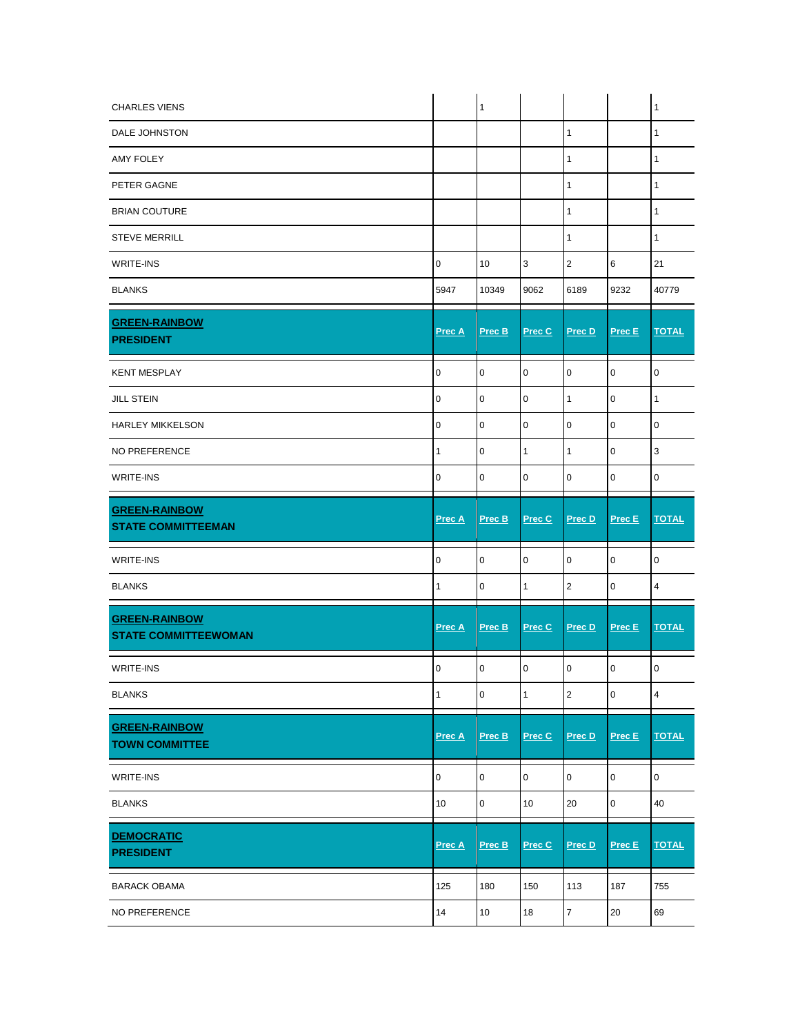| <b>CHARLES VIENS</b>                                |              | $\mathbf{1}$ |                     |                |                | $\mathbf{1}$            |
|-----------------------------------------------------|--------------|--------------|---------------------|----------------|----------------|-------------------------|
| DALE JOHNSTON                                       |              |              |                     | $\mathbf{1}$   |                | 1                       |
| <b>AMY FOLEY</b>                                    |              |              |                     | 1              |                | 1                       |
| PETER GAGNE                                         |              |              |                     | $\mathbf{1}$   |                | 1                       |
| <b>BRIAN COUTURE</b>                                |              |              |                     | $\mathbf{1}$   |                | $\mathbf{1}$            |
| <b>STEVE MERRILL</b>                                |              |              |                     | 1              |                | 1                       |
| <b>WRITE-INS</b>                                    | $\mathsf 0$  | 10           | $\mathsf 3$         | $\overline{2}$ | 6              | 21                      |
| <b>BLANKS</b>                                       | 5947         | 10349        | 9062                | 6189           | 9232           | 40779                   |
| <b>GREEN-RAINBOW</b><br><b>PRESIDENT</b>            | Prec A       | Prec B       | Prec C              | Prec D         | Prec E         | <b>TOTAL</b>            |
| <b>KENT MESPLAY</b>                                 | $\mathbf 0$  | $\pmb{0}$    | 0                   | $\mathsf 0$    | $\mathbf 0$    | $\pmb{0}$               |
| <b>JILL STEIN</b>                                   | $\pmb{0}$    | $\mathbf 0$  | $\mathbf 0$         | $\mathbf{1}$   | $\mathbf 0$    | 1                       |
| <b>HARLEY MIKKELSON</b>                             | 0            | $\pmb{0}$    | 0                   | 0              | 0              | 0                       |
| NO PREFERENCE                                       | 1            | $\pmb{0}$    | $\mathbf{1}$        | $\mathbf{1}$   | $\mathbf 0$    | 3                       |
| <b>WRITE-INS</b>                                    | 0            | $\mathbf 0$  | 0                   | $\mathsf 0$    | $\mathbf 0$    | $\mathbf 0$             |
| <b>GREEN-RAINBOW</b><br><b>STATE COMMITTEEMAN</b>   | Prec A       | Prec B       | Prec C              | Prec D         | Prec E         | <b>TOTAL</b>            |
| <b>WRITE-INS</b>                                    | $\pmb{0}$    | $\pmb{0}$    | 0                   | $\mathsf 0$    | $\mathbf 0$    | $\mathbf 0$             |
| <b>BLANKS</b>                                       | 1            | 0            | 1                   | $\overline{2}$ | 0              | 4                       |
| <b>GREEN-RAINBOW</b><br><b>STATE COMMITTEEWOMAN</b> | Prec A       | Prec B       | Prec C              | Prec D         | Prec E         | <b>TOTAL</b>            |
| <b>WRITE-INS</b>                                    | 0            | 0            | 0                   | 0              | 0              | $\mathbf 0$             |
| <b>BLANKS</b>                                       | $\mathbf{1}$ | $\pmb{0}$    | $\mathbf{1}$        | $\mathbf 2$    | $\mathbf 0$    | $\overline{\mathbf{4}}$ |
| <b>GREEN-RAINBOW</b><br><b>TOWN COMMITTEE</b>       | Prec A       | Prec B       | Prec C              | Prec D         | $Prec E$       | <b>TOTAL</b>            |
|                                                     |              |              |                     |                |                |                         |
| WRITE-INS                                           | 0            | $\pmb{0}$    | $\mathsf{O}\xspace$ | 0              | 0              | $\pmb{0}$               |
| <b>BLANKS</b>                                       | 10           | $\pmb{0}$    | 10                  | 20             | $\overline{0}$ | 40                      |
| <b>DEMOCRATIC</b><br><b>PRESIDENT</b>               | Prec A       | Prec B       | Prec C              | Prec D         | $Prec E$       | <b>TOTAL</b>            |
| <b>BARACK OBAMA</b>                                 | 125          | 180          | 150                 | 113            | 187            | 755                     |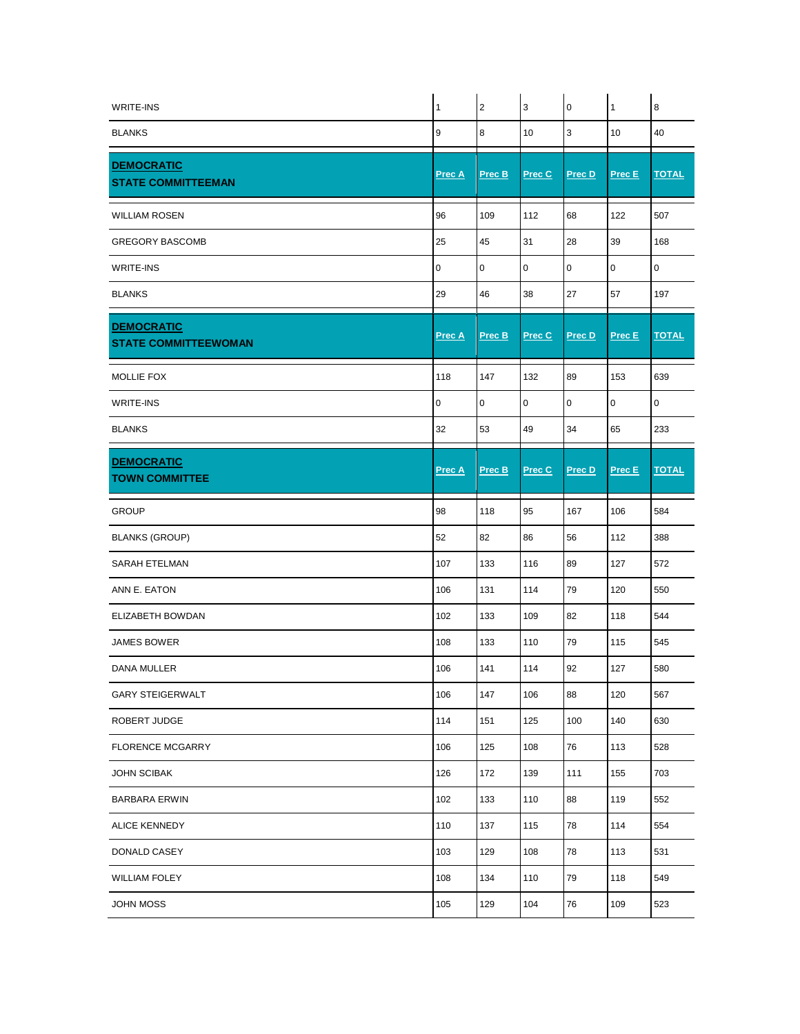| <b>WRITE-INS</b>                                 | 1      | $\overline{c}$ | 3      | $\mathbf 0$ | $\mathbf{1}$ | 8            |
|--------------------------------------------------|--------|----------------|--------|-------------|--------------|--------------|
| <b>BLANKS</b>                                    | 9      | 8              | 10     | $\mathsf 3$ | 10           | 40           |
| <b>DEMOCRATIC</b><br><b>STATE COMMITTEEMAN</b>   | Prec A | Prec B         | Prec C | Prec D      | Prec E       | <b>TOTAL</b> |
| <b>WILLIAM ROSEN</b>                             | 96     | 109            | 112    | 68          | 122          | 507          |
| <b>GREGORY BASCOMB</b>                           | 25     | 45             | 31     | 28          | 39           | 168          |
| <b>WRITE-INS</b>                                 | 0      | 0              | 0      | 0           | 0            | 0            |
| <b>BLANKS</b>                                    | 29     | 46             | 38     | 27          | 57           | 197          |
| <b>DEMOCRATIC</b><br><b>STATE COMMITTEEWOMAN</b> | Prec A | Prec B         | Prec C | Prec D      | Prec E       | <b>TOTAL</b> |
| MOLLIE FOX                                       | 118    | 147            | 132    | 89          | 153          | 639          |
| <b>WRITE-INS</b>                                 | 0      | 0              | 0      | $\pmb{0}$   | 0            | 0            |
| <b>BLANKS</b>                                    | 32     | 53             | 49     | 34          | 65           | 233          |
| <b>DEMOCRATIC</b><br><b>TOWN COMMITTEE</b>       | Prec A | Prec B         | Prec C | Prec D      | Prec E       | <b>TOTAL</b> |
| <b>GROUP</b>                                     | 98     | 118            | 95     | 167         | 106          | 584          |
| <b>BLANKS (GROUP)</b>                            | 52     | 82             | 86     | 56          | 112          | 388          |
| SARAH ETELMAN                                    | 107    | 133            | 116    | 89          | 127          | 572          |
| ANN E. EATON                                     | 106    | 131            | 114    | 79          | 120          | 550          |
| <b>ELIZABETH BOWDAN</b>                          | 102    | 133            | 109    | 82          | 118          | 544          |
| <b>JAMES BOWER</b>                               | 108    | 133            | 110    | 79          | 115          | 545          |
| DANA MULLER                                      | 106    | 141            | 114    | 92          | 127          | 580          |
| <b>GARY STEIGERWALT</b>                          | 106    | 147            | 106    | 88          | 120          | 567          |
| ROBERT JUDGE                                     | 114    | 151            | 125    | 100         | 140          | 630          |
| <b>FLORENCE MCGARRY</b>                          | 106    | 125            | 108    | 76          | 113          | 528          |
| <b>JOHN SCIBAK</b>                               | 126    | 172            | 139    | 111         | 155          | 703          |
| <b>BARBARA ERWIN</b>                             | 102    | 133            | 110    | 88          | 119          | 552          |
| <b>ALICE KENNEDY</b>                             | 110    | 137            | 115    | 78          | 114          | 554          |
| DONALD CASEY                                     | 103    | 129            | 108    | 78          | 113          | 531          |
| <b>WILLIAM FOLEY</b>                             | 108    | 134            | 110    | 79          | 118          | 549          |
| JOHN MOSS                                        | 105    | 129            | 104    | 76          | 109          | 523          |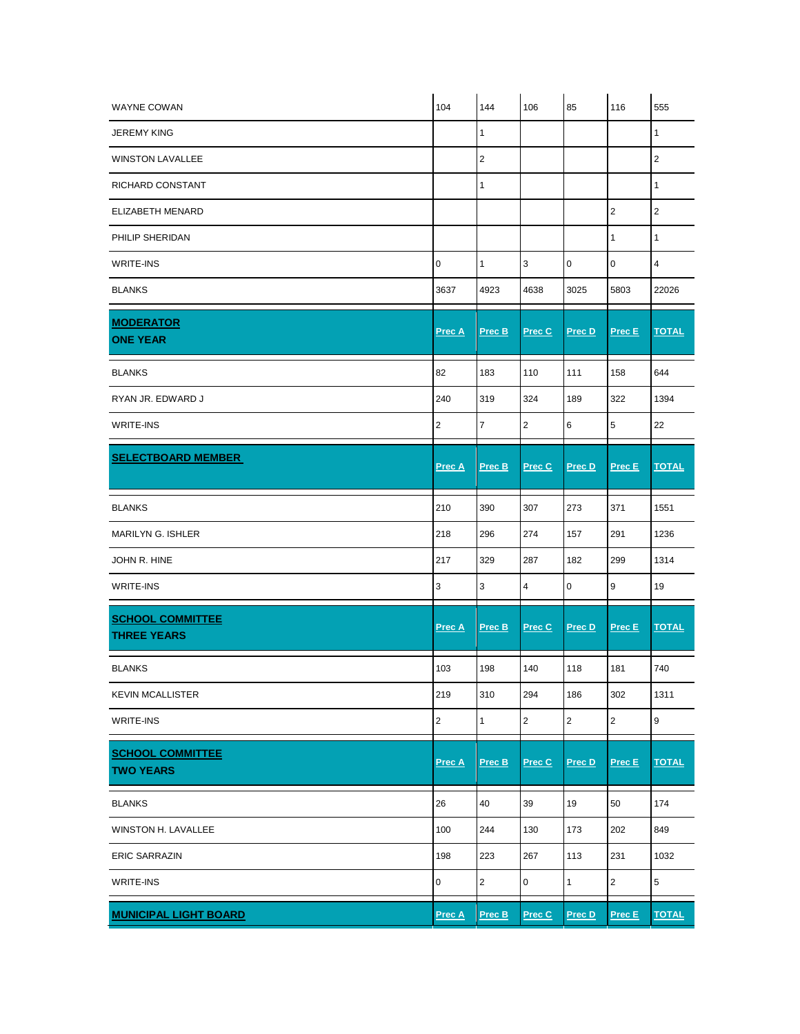| <b>WAYNE COWAN</b>                            | 104                     | 144            | 106            | 85               | 116            | 555              |
|-----------------------------------------------|-------------------------|----------------|----------------|------------------|----------------|------------------|
| <b>JEREMY KING</b>                            |                         | 1              |                |                  |                | 1                |
| <b>WINSTON LAVALLEE</b>                       |                         | $\sqrt{2}$     |                |                  |                | $\overline{2}$   |
| RICHARD CONSTANT                              |                         | $\mathbf{1}$   |                |                  |                | $\mathbf{1}$     |
| ELIZABETH MENARD                              |                         |                |                |                  | $\overline{2}$ | $\overline{2}$   |
| PHILIP SHERIDAN                               |                         |                |                |                  | 1              | 1                |
| <b>WRITE-INS</b>                              | $\mathsf 0$             | $\mathbf{1}$   | 3              | $\pmb{0}$        | 0              | $\overline{4}$   |
| <b>BLANKS</b>                                 | 3637                    | 4923           | 4638           | 3025             | 5803           | 22026            |
| <b>MODERATOR</b><br><b>ONE YEAR</b>           | <b>Prec A</b>           | Prec B         | Prec C         | Prec D           | Prec E         | <b>TOTAL</b>     |
| <b>BLANKS</b>                                 | 82                      | 183            | 110            | 111              | 158            | 644              |
| RYAN JR. EDWARD J                             | 240                     | 319            | 324            | 189              | 322            | 1394             |
| <b>WRITE-INS</b>                              | $\overline{2}$          | $\overline{7}$ | $\overline{2}$ | 6                | 5              | 22               |
| <b>SELECTBOARD MEMBER</b>                     | Prec A                  | <u>Prec B</u>  | Prec C         | Prec D           | Prec E         | <b>TOTAL</b>     |
| <b>BLANKS</b>                                 | 210                     | 390            | 307            | 273              | 371            | 1551             |
| MARILYN G. ISHLER                             | 218                     | 296            | 274            | 157              | 291            | 1236             |
| JOHN R. HINE                                  | 217                     | 329            | 287            | 182              | 299            | 1314             |
| <b>WRITE-INS</b>                              | 3                       | 3              | 4              | $\mathbf 0$      | 9              | 19               |
| <b>SCHOOL COMMITTEE</b><br><b>THREE YEARS</b> | Prec A                  | Prec B         | Prec C         | Prec D           | Prec E         | <b>TOTAL</b>     |
| <b>BLANKS</b>                                 | 103                     | 198            | 140            | 118              | 181            | 740              |
| <b>KEVIN MCALLISTER</b>                       | 219                     | 310            | 294            | 186              | 302            | 1311             |
| <b>WRITE-INS</b>                              | $\overline{\mathbf{c}}$ | $\mathbf{1}$   | $\overline{2}$ | $\boldsymbol{2}$ | $\mathbf 2$    | $\boldsymbol{9}$ |
| <b>SCHOOL COMMITTEE</b><br><b>TWO YEARS</b>   | Prec A                  | Prec B         | Prec C         | Prec D           | Prec E         | <b>TOTAL</b>     |
| <b>BLANKS</b>                                 | 26                      | 40             | 39             | 19               | 50             | 174              |
| WINSTON H. LAVALLEE                           | 100                     | 244            | 130            | 173              | 202            | 849              |
| <b>ERIC SARRAZIN</b>                          | 198                     | 223            | 267            | 113              | 231            | 1032             |
| <b>WRITE-INS</b>                              | $\pmb{0}$               | $\overline{2}$ | $\pmb{0}$      | $\mathbf{1}$     | $\overline{2}$ | $\mathbf 5$      |
| <b>MUNICIPAL LIGHT BOARD</b>                  | Prec A                  | Prec B         | Prec C         | Prec D           | Prec E         | <b>TOTAL</b>     |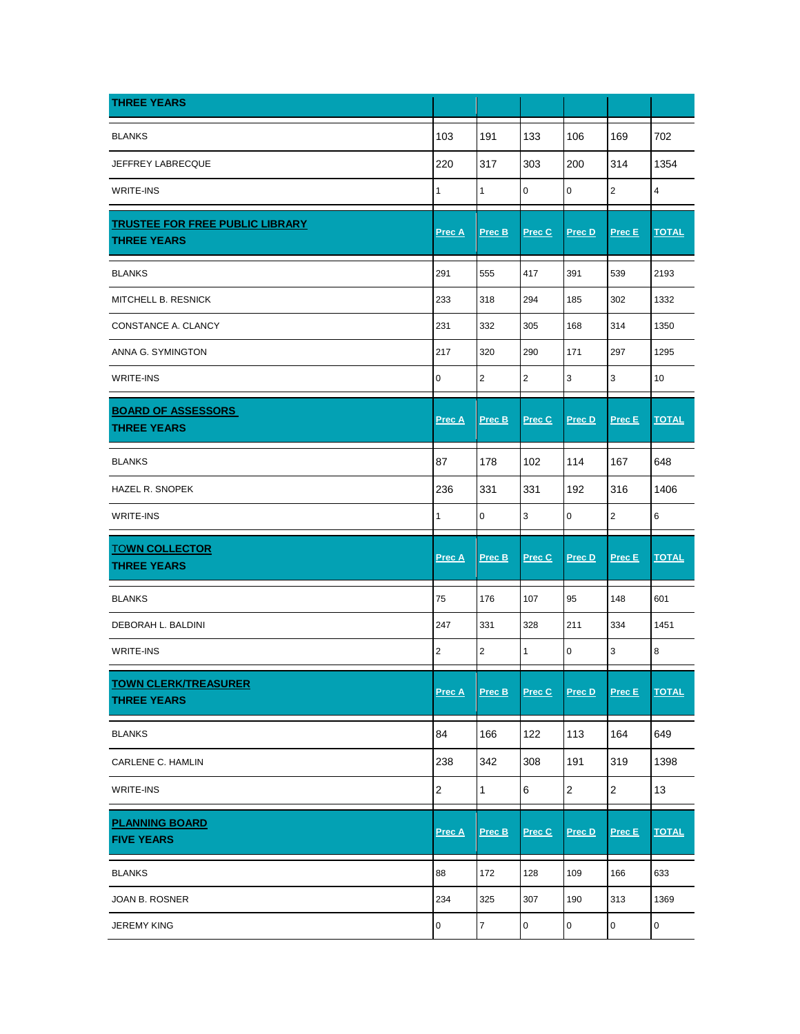| <b>THREE YEARS</b>                                           |                  |                |                |                |                  |                         |
|--------------------------------------------------------------|------------------|----------------|----------------|----------------|------------------|-------------------------|
| <b>BLANKS</b>                                                | 103              | 191            | 133            | 106            | 169              | 702                     |
| JEFFREY LABRECQUE                                            | 220              | 317            | 303            | 200            | 314              | 1354                    |
| <b>WRITE-INS</b>                                             | 1                | 1              | 0              | $\pmb{0}$      | $\overline{2}$   | $\overline{\mathbf{4}}$ |
| <b>TRUSTEE FOR FREE PUBLIC LIBRARY</b><br><b>THREE YEARS</b> | <u>Prec A</u>    | Prec B         | Prec C         | Prec D         | Prec E           | <b>TOTAL</b>            |
| <b>BLANKS</b>                                                | 291              | 555            | 417            | 391            | 539              | 2193                    |
| MITCHELL B. RESNICK                                          | 233              | 318            | 294            | 185            | 302              | 1332                    |
| CONSTANCE A. CLANCY                                          | 231              | 332            | 305            | 168            | 314              | 1350                    |
| ANNA G. SYMINGTON                                            | 217              | 320            | 290            | 171            | 297              | 1295                    |
| <b>WRITE-INS</b>                                             | $\mathbf 0$      | $\overline{2}$ | $\overline{2}$ | 3              | 3                | 10                      |
| <b>BOARD OF ASSESSORS</b><br><b>THREE YEARS</b>              | <u>Prec A</u>    | Prec B         | Prec C         | Prec D         | Prec E           | <b>TOTAL</b>            |
| <b>BLANKS</b>                                                | 87               | 178            | 102            | 114            | 167              | 648                     |
| <b>HAZEL R. SNOPEK</b>                                       | 236              | 331            | 331            | 192            | 316              | 1406                    |
| <b>WRITE-INS</b>                                             | 1                | 0              | 3              | $\mathbf 0$    | $\overline{2}$   | 6                       |
| <b>TOWN COLLECTOR</b><br><b>THREE YEARS</b>                  | <b>Prec A</b>    | Prec B         | Prec C         | Prec D         | Prec E           | <b>TOTAL</b>            |
| <b>BLANKS</b>                                                | 75               | 176            | 107            | 95             | 148              | 601                     |
| DEBORAH L. BALDINI                                           | 247              | 331            | 328            | 211            | 334              | 1451                    |
| <b>WRITE-INS</b>                                             | $\boldsymbol{2}$ | $\sqrt{2}$     | $\mathbf{1}$   | 0              | 3                | 8                       |
| <b>TOWN CLERK/TREASURER</b><br><b>THREE YEARS</b>            | Prec A           | Prec B         | Prec C         | Prec D         | Prec E           | <b>TOTAL</b>            |
| <b>BLANKS</b>                                                | 84               | 166            | 122            | 113            | 164              | 649                     |
| CARLENE C. HAMLIN                                            | 238              | 342            | 308            | 191            | 319              | 1398                    |
| WRITE-INS                                                    | $\sqrt{2}$       | 1              | 6              | $\overline{c}$ | $\boldsymbol{2}$ | 13                      |
| <b>PLANNING BOARD</b><br><b>FIVE YEARS</b>                   | Prec A           | Prec B         | Prec C         | Prec D         | Prec E           | <b>TOTAL</b>            |
| <b>BLANKS</b>                                                | 88               | 172            | 128            | 109            | 166              | 633                     |
| JOAN B. ROSNER                                               | 234              | 325            | 307            | 190            | 313              | 1369                    |
| <b>JEREMY KING</b>                                           | 0                | $\overline{7}$ | $\pmb{0}$      | $\pmb{0}$      | 0                | 0                       |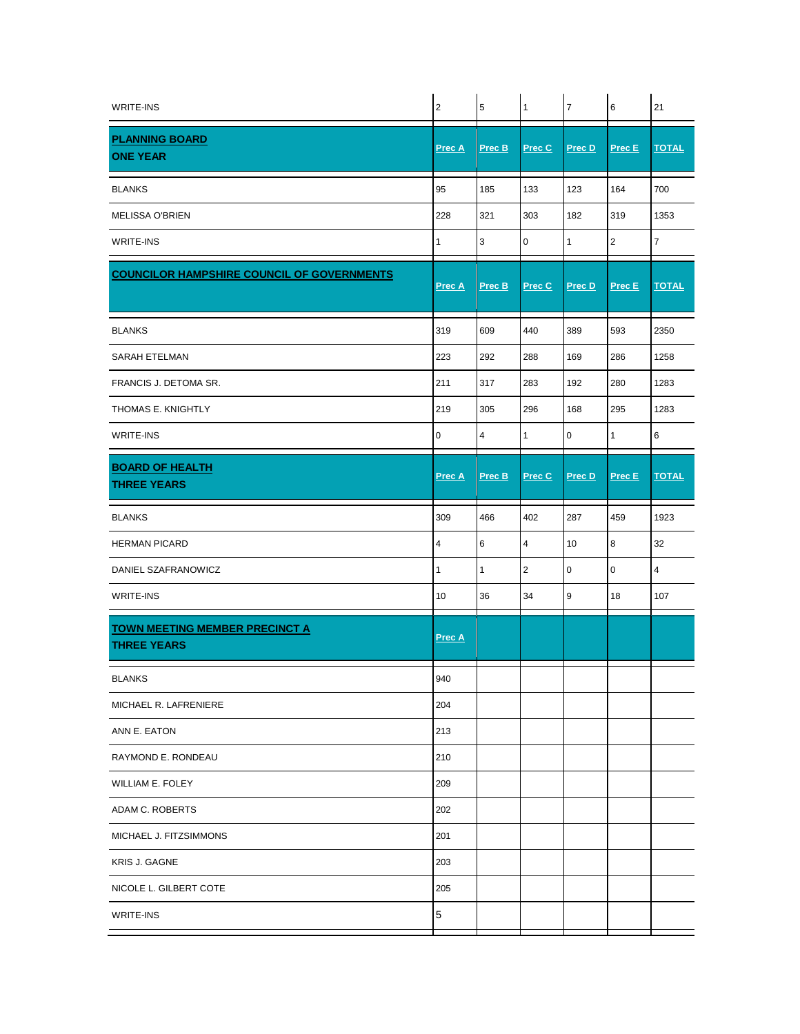| <b>WRITE-INS</b>                                            | $\sqrt{2}$    | $\overline{5}$ | $\mathbf{1}$   | $\overline{7}$ | 6            | 21             |
|-------------------------------------------------------------|---------------|----------------|----------------|----------------|--------------|----------------|
| <b>PLANNING BOARD</b><br><b>ONE YEAR</b>                    | Prec A        | Prec B         | Prec C         | Prec D         | Prec E       | <b>TOTAL</b>   |
| <b>BLANKS</b>                                               | 95            | 185            | 133            | 123            | 164          | 700            |
| <b>MELISSA O'BRIEN</b>                                      | 228           | 321            | 303            | 182            | 319          | 1353           |
| <b>WRITE-INS</b>                                            | 1             | 3              | 0              | $\mathbf{1}$   | $\mathbf 2$  | $\overline{7}$ |
| <b>COUNCILOR HAMPSHIRE COUNCIL OF GOVERNMENTS</b>           | <u>Prec A</u> | Prec B         | Prec C         | Prec D         | Prec E       | <b>TOTAL</b>   |
| <b>BLANKS</b>                                               | 319           | 609            | 440            | 389            | 593          | 2350           |
| SARAH ETELMAN                                               | 223           | 292            | 288            | 169            | 286          | 1258           |
| FRANCIS J. DETOMA SR.                                       | 211           | 317            | 283            | 192            | 280          | 1283           |
| THOMAS E. KNIGHTLY                                          | 219           | 305            | 296            | 168            | 295          | 1283           |
| <b>WRITE-INS</b>                                            | 0             | $\overline{4}$ | $\mathbf{1}$   | $\mathbf 0$    | $\mathbf{1}$ | 6              |
| <b>BOARD OF HEALTH</b><br><b>THREE YEARS</b>                | <b>Prec A</b> | Prec B         | Prec C         | Prec D         | Prec E       | <b>TOTAL</b>   |
| <b>BLANKS</b>                                               | 309           | 466            | 402            | 287            | 459          | 1923           |
| <b>HERMAN PICARD</b>                                        | 4             | 6              | $\overline{4}$ | 10             | 8            | 32             |
| DANIEL SZAFRANOWICZ                                         | 1             | 1              | $\overline{2}$ | 0              | 0            | 4              |
| WRITE-INS                                                   | 10            | 36             | 34             | 9              | 18           | 107            |
| <b>TOWN MEETING MEMBER PRECINCT A</b><br><b>THREE YEARS</b> | Prec A        |                |                |                |              |                |
| <b>BLANKS</b>                                               | 940           |                |                |                |              |                |
| MICHAEL R. LAFRENIERE                                       | 204           |                |                |                |              |                |
| ANN E. EATON                                                | 213           |                |                |                |              |                |
| RAYMOND E. RONDEAU                                          | 210           |                |                |                |              |                |
| WILLIAM E. FOLEY                                            | 209           |                |                |                |              |                |
| ADAM C. ROBERTS                                             | 202           |                |                |                |              |                |
| MICHAEL J. FITZSIMMONS                                      | 201           |                |                |                |              |                |
| KRIS J. GAGNE                                               | 203           |                |                |                |              |                |
| NICOLE L. GILBERT COTE                                      | 205           |                |                |                |              |                |
| WRITE-INS                                                   | $\mathbf 5$   |                |                |                |              |                |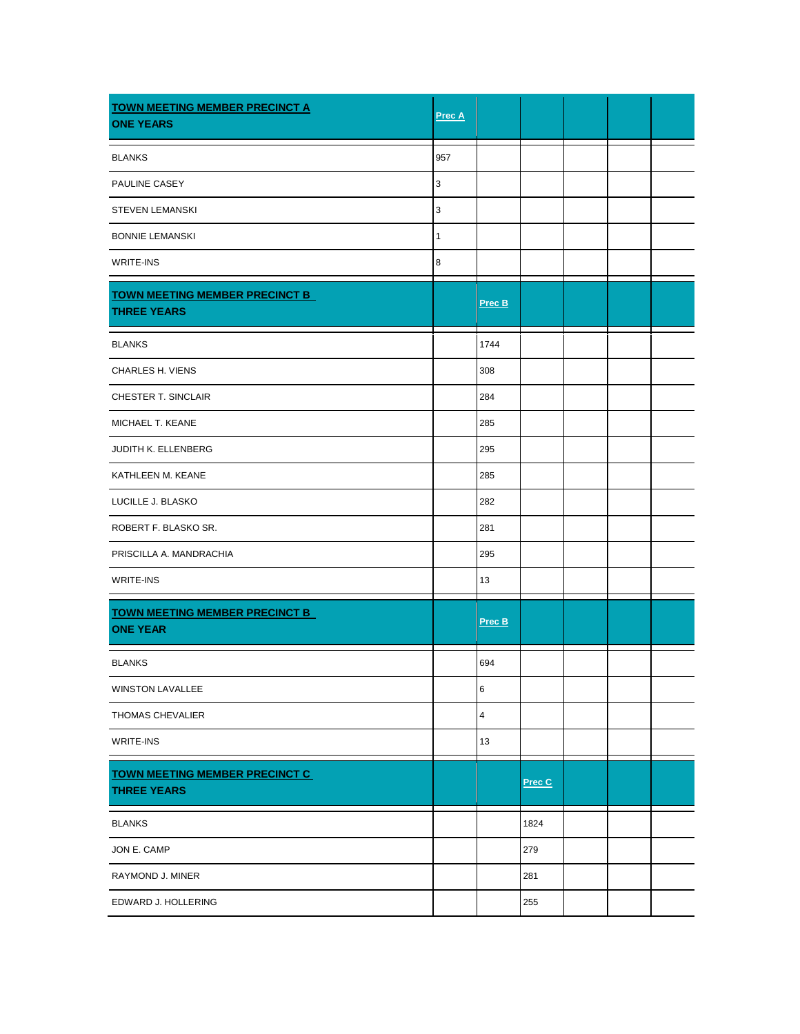| <b>TOWN MEETING MEMBER PRECINCT A</b><br><b>ONE YEARS</b>   | Prec A       |                |        |  |  |
|-------------------------------------------------------------|--------------|----------------|--------|--|--|
| <b>BLANKS</b>                                               | 957          |                |        |  |  |
| PAULINE CASEY                                               | 3            |                |        |  |  |
| <b>STEVEN LEMANSKI</b>                                      | 3            |                |        |  |  |
| <b>BONNIE LEMANSKI</b>                                      | $\mathbf{1}$ |                |        |  |  |
| WRITE-INS                                                   | 8            |                |        |  |  |
| <b>TOWN MEETING MEMBER PRECINCT B</b><br><b>THREE YEARS</b> |              | Prec B         |        |  |  |
| <b>BLANKS</b>                                               |              | 1744           |        |  |  |
| CHARLES H. VIENS                                            |              | 308            |        |  |  |
| CHESTER T. SINCLAIR                                         |              | 284            |        |  |  |
| MICHAEL T. KEANE                                            |              | 285            |        |  |  |
| JUDITH K. ELLENBERG                                         |              | 295            |        |  |  |
| KATHLEEN M. KEANE                                           |              | 285            |        |  |  |
| LUCILLE J. BLASKO                                           |              | 282            |        |  |  |
| ROBERT F. BLASKO SR.                                        |              | 281            |        |  |  |
| PRISCILLA A. MANDRACHIA                                     |              | 295            |        |  |  |
| <b>WRITE-INS</b>                                            |              | 13             |        |  |  |
| <b>TOWN MEETING MEMBER PRECINCT B</b><br><b>ONE YEAR</b>    |              | Prec B         |        |  |  |
| <b>BLANKS</b>                                               |              | 694            |        |  |  |
| <b>WINSTON LAVALLEE</b>                                     |              | 6              |        |  |  |
| <b>THOMAS CHEVALIER</b>                                     |              | $\overline{4}$ |        |  |  |
| WRITE-INS                                                   |              | 13             |        |  |  |
| <b>TOWN MEETING MEMBER PRECINCT C</b><br><b>THREE YEARS</b> |              |                | Prec C |  |  |
| <b>BLANKS</b>                                               |              |                | 1824   |  |  |
| JON E. CAMP                                                 |              |                | 279    |  |  |
| RAYMOND J. MINER                                            |              |                | 281    |  |  |
| EDWARD J. HOLLERING                                         |              |                | 255    |  |  |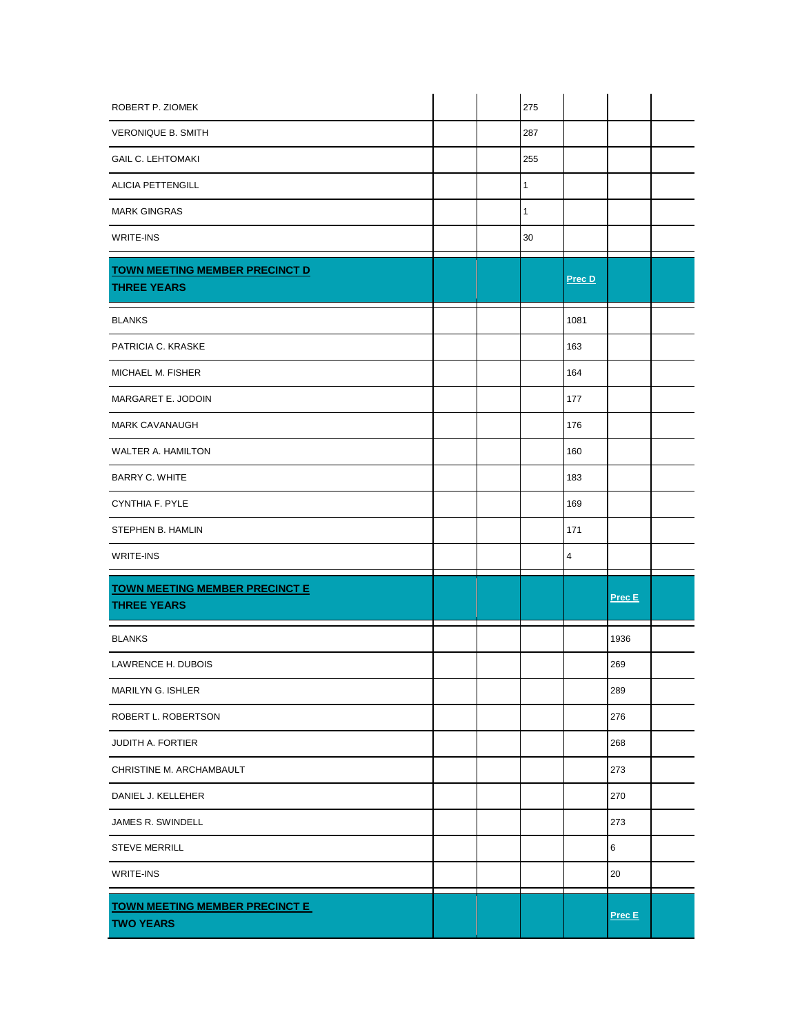| ROBERT P. ZIOMEK                                          |  | 275          |        |        |  |
|-----------------------------------------------------------|--|--------------|--------|--------|--|
| <b>VERONIQUE B. SMITH</b>                                 |  | 287          |        |        |  |
| <b>GAIL C. LEHTOMAKI</b>                                  |  | 255          |        |        |  |
| <b>ALICIA PETTENGILL</b>                                  |  | $\mathbf{1}$ |        |        |  |
| <b>MARK GINGRAS</b>                                       |  | 1            |        |        |  |
| WRITE-INS                                                 |  | 30           |        |        |  |
| <b>TOWN MEETING MEMBER PRECINCT D</b>                     |  |              | Prec D |        |  |
| <b>THREE YEARS</b>                                        |  |              |        |        |  |
| <b>BLANKS</b>                                             |  |              | 1081   |        |  |
| PATRICIA C. KRASKE                                        |  |              | 163    |        |  |
| MICHAEL M. FISHER                                         |  |              | 164    |        |  |
| MARGARET E. JODOIN                                        |  |              | 177    |        |  |
| <b>MARK CAVANAUGH</b>                                     |  |              | 176    |        |  |
| WALTER A. HAMILTON                                        |  |              | 160    |        |  |
| <b>BARRY C. WHITE</b>                                     |  |              | 183    |        |  |
| CYNTHIA F. PYLE                                           |  |              | 169    |        |  |
| STEPHEN B. HAMLIN                                         |  |              | 171    |        |  |
| WRITE-INS                                                 |  |              | 4      |        |  |
| <b>TOWN MEETING MEMBER PRECINCT E</b>                     |  |              |        | Prec E |  |
| <b>THREE YEARS</b>                                        |  |              |        |        |  |
| <b>BLANKS</b>                                             |  |              |        | 1936   |  |
| LAWRENCE H. DUBOIS                                        |  |              |        | 269    |  |
| MARILYN G. ISHLER                                         |  |              |        | 289    |  |
| ROBERT L. ROBERTSON                                       |  |              |        | 276    |  |
| <b>JUDITH A. FORTIER</b>                                  |  |              |        | 268    |  |
| CHRISTINE M. ARCHAMBAULT                                  |  |              |        | 273    |  |
| DANIEL J. KELLEHER                                        |  |              |        | 270    |  |
| JAMES R. SWINDELL                                         |  |              |        | 273    |  |
| <b>STEVE MERRILL</b>                                      |  |              |        | 6      |  |
| WRITE-INS                                                 |  |              |        | 20     |  |
| <b>TOWN MEETING MEMBER PRECINCT E</b><br><b>TWO YEARS</b> |  |              |        | Prec E |  |